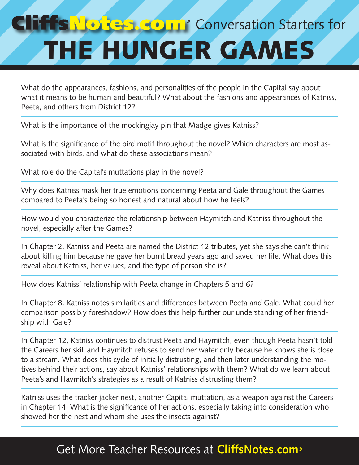## **TISNORES COMP** Conversation Starters for THE HUNGER GAMES

What do the appearances, fashions, and personalities of the people in the Capital say about what it means to be human and beautiful? What about the fashions and appearances of Katniss, Peeta, and others from District 12?

What is the importance of the mockingjay pin that Madge gives Katniss?

What is the significance of the bird motif throughout the novel? Which characters are most associated with birds, and what do these associations mean?

What role do the Capital's muttations play in the novel?

Why does Katniss mask her true emotions concerning Peeta and Gale throughout the Games compared to Peeta's being so honest and natural about how he feels?

How would you characterize the relationship between Haymitch and Katniss throughout the novel, especially after the Games?

In Chapter 2, Katniss and Peeta are named the District 12 tributes, yet she says she can't think about killing him because he gave her burnt bread years ago and saved her life. What does this reveal about Katniss, her values, and the type of person she is?

How does Katniss' relationship with Peeta change in Chapters 5 and 6?

In Chapter 8, Katniss notes similarities and differences between Peeta and Gale. What could her comparison possibly foreshadow? How does this help further our understanding of her friendship with Gale?

In Chapter 12, Katniss continues to distrust Peeta and Haymitch, even though Peeta hasn't told the Careers her skill and Haymitch refuses to send her water only because he knows she is close to a stream. What does this cycle of initially distrusting, and then later understanding the motives behind their actions, say about Katniss' relationships with them? What do we learn about Peeta's and Haymitch's strategies as a result of Katniss distrusting them?

Katniss uses the tracker jacker nest, another Capital muttation, as a weapon against the Careers in Chapter 14. What is the significance of her actions, especially taking into consideration who showed her the nest and whom she uses the insects against?

## Get More Teacher Resources at **CliffsNotes.com®**